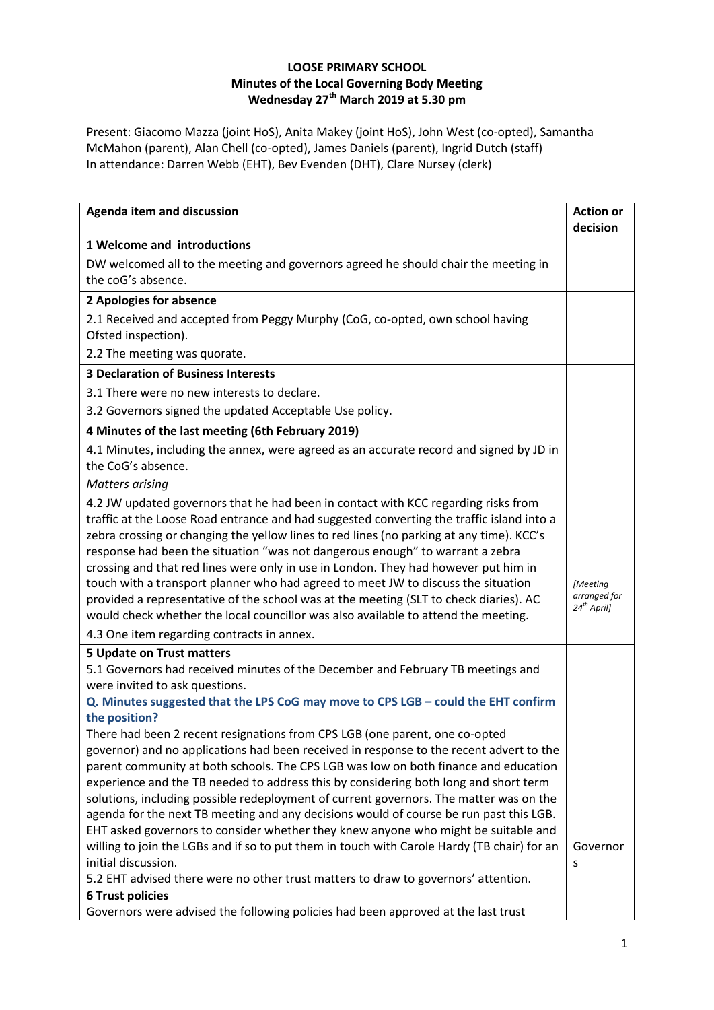## **LOOSE PRIMARY SCHOOL Minutes of the Local Governing Body Meeting Wednesday 27th March 2019 at 5.30 pm**

Present: Giacomo Mazza (joint HoS), Anita Makey (joint HoS), John West (co-opted), Samantha McMahon (parent), Alan Chell (co-opted), James Daniels (parent), Ingrid Dutch (staff) In attendance: Darren Webb (EHT), Bev Evenden (DHT), Clare Nursey (clerk)

| <b>Agenda item and discussion</b>                                                                                                                                                                                                                                                                                                                                                                                                                                                                                                                                                                                                 | <b>Action or</b><br>decision                 |
|-----------------------------------------------------------------------------------------------------------------------------------------------------------------------------------------------------------------------------------------------------------------------------------------------------------------------------------------------------------------------------------------------------------------------------------------------------------------------------------------------------------------------------------------------------------------------------------------------------------------------------------|----------------------------------------------|
| 1 Welcome and introductions                                                                                                                                                                                                                                                                                                                                                                                                                                                                                                                                                                                                       |                                              |
| DW welcomed all to the meeting and governors agreed he should chair the meeting in<br>the coG's absence.                                                                                                                                                                                                                                                                                                                                                                                                                                                                                                                          |                                              |
| 2 Apologies for absence                                                                                                                                                                                                                                                                                                                                                                                                                                                                                                                                                                                                           |                                              |
| 2.1 Received and accepted from Peggy Murphy (CoG, co-opted, own school having                                                                                                                                                                                                                                                                                                                                                                                                                                                                                                                                                     |                                              |
| Ofsted inspection).                                                                                                                                                                                                                                                                                                                                                                                                                                                                                                                                                                                                               |                                              |
| 2.2 The meeting was quorate.                                                                                                                                                                                                                                                                                                                                                                                                                                                                                                                                                                                                      |                                              |
| <b>3 Declaration of Business Interests</b>                                                                                                                                                                                                                                                                                                                                                                                                                                                                                                                                                                                        |                                              |
| 3.1 There were no new interests to declare.                                                                                                                                                                                                                                                                                                                                                                                                                                                                                                                                                                                       |                                              |
| 3.2 Governors signed the updated Acceptable Use policy.                                                                                                                                                                                                                                                                                                                                                                                                                                                                                                                                                                           |                                              |
| 4 Minutes of the last meeting (6th February 2019)                                                                                                                                                                                                                                                                                                                                                                                                                                                                                                                                                                                 |                                              |
| 4.1 Minutes, including the annex, were agreed as an accurate record and signed by JD in<br>the CoG's absence.                                                                                                                                                                                                                                                                                                                                                                                                                                                                                                                     |                                              |
| <b>Matters arising</b>                                                                                                                                                                                                                                                                                                                                                                                                                                                                                                                                                                                                            |                                              |
| 4.2 JW updated governors that he had been in contact with KCC regarding risks from<br>traffic at the Loose Road entrance and had suggested converting the traffic island into a<br>zebra crossing or changing the yellow lines to red lines (no parking at any time). KCC's<br>response had been the situation "was not dangerous enough" to warrant a zebra<br>crossing and that red lines were only in use in London. They had however put him in<br>touch with a transport planner who had agreed to meet JW to discuss the situation<br>provided a representative of the school was at the meeting (SLT to check diaries). AC | [Meeting<br>arranged for<br>$24^{th}$ April] |
| would check whether the local councillor was also available to attend the meeting.<br>4.3 One item regarding contracts in annex.                                                                                                                                                                                                                                                                                                                                                                                                                                                                                                  |                                              |
| 5 Update on Trust matters                                                                                                                                                                                                                                                                                                                                                                                                                                                                                                                                                                                                         |                                              |
| 5.1 Governors had received minutes of the December and February TB meetings and<br>were invited to ask questions.<br>Q. Minutes suggested that the LPS CoG may move to CPS LGB - could the EHT confirm<br>the position?                                                                                                                                                                                                                                                                                                                                                                                                           |                                              |
| There had been 2 recent resignations from CPS LGB (one parent, one co-opted<br>governor) and no applications had been received in response to the recent advert to the<br>parent community at both schools. The CPS LGB was low on both finance and education<br>experience and the TB needed to address this by considering both long and short term<br>solutions, including possible redeployment of current governors. The matter was on the<br>agenda for the next TB meeting and any decisions would of course be run past this LGB.<br>EHT asked governors to consider whether they knew anyone who might be suitable and   |                                              |
| willing to join the LGBs and if so to put them in touch with Carole Hardy (TB chair) for an<br>initial discussion.<br>5.2 EHT advised there were no other trust matters to draw to governors' attention.                                                                                                                                                                                                                                                                                                                                                                                                                          | Governor<br>S                                |
| <b>6 Trust policies</b>                                                                                                                                                                                                                                                                                                                                                                                                                                                                                                                                                                                                           |                                              |
| Governors were advised the following policies had been approved at the last trust                                                                                                                                                                                                                                                                                                                                                                                                                                                                                                                                                 |                                              |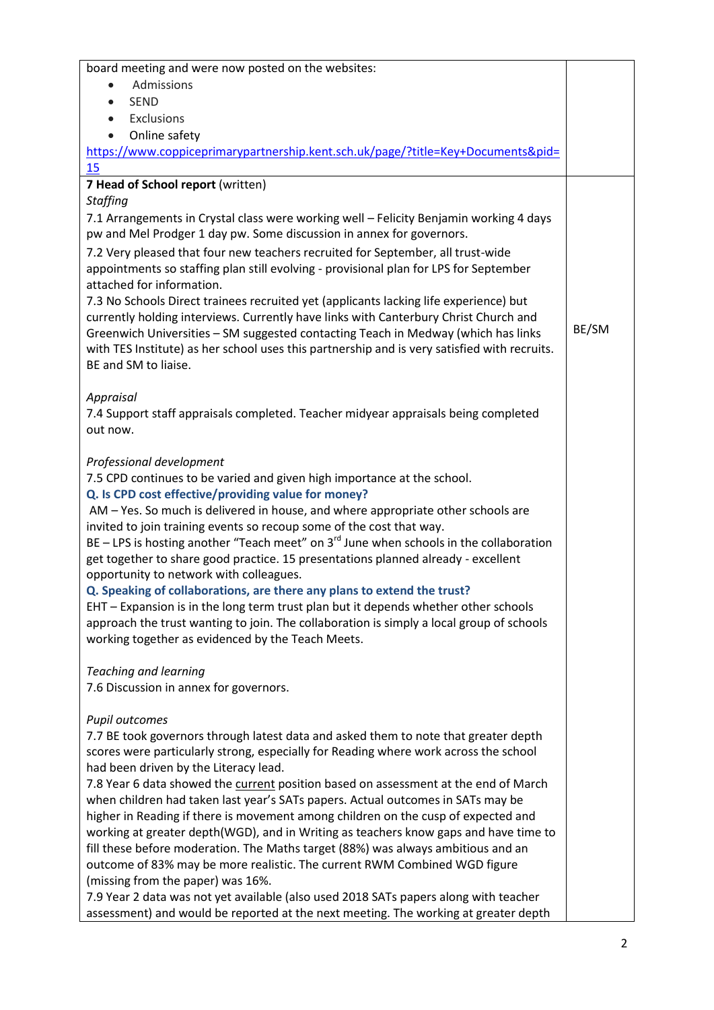| board meeting and were now posted on the websites:                                                                                                            |       |
|---------------------------------------------------------------------------------------------------------------------------------------------------------------|-------|
| Admissions                                                                                                                                                    |       |
| <b>SEND</b><br>$\bullet$                                                                                                                                      |       |
| Exclusions<br>$\bullet$                                                                                                                                       |       |
| Online safety<br>$\bullet$<br>https://www.coppiceprimarypartnership.kent.sch.uk/page/?title=Key+Documents&pid=                                                |       |
| 15                                                                                                                                                            |       |
| 7 Head of School report (written)                                                                                                                             |       |
| Staffing                                                                                                                                                      |       |
| 7.1 Arrangements in Crystal class were working well - Felicity Benjamin working 4 days                                                                        |       |
| pw and Mel Prodger 1 day pw. Some discussion in annex for governors.                                                                                          |       |
| 7.2 Very pleased that four new teachers recruited for September, all trust-wide                                                                               |       |
| appointments so staffing plan still evolving - provisional plan for LPS for September                                                                         |       |
| attached for information.                                                                                                                                     |       |
| 7.3 No Schools Direct trainees recruited yet (applicants lacking life experience) but                                                                         |       |
| currently holding interviews. Currently have links with Canterbury Christ Church and                                                                          |       |
| Greenwich Universities - SM suggested contacting Teach in Medway (which has links                                                                             | BE/SM |
| with TES Institute) as her school uses this partnership and is very satisfied with recruits.                                                                  |       |
| BE and SM to liaise.                                                                                                                                          |       |
|                                                                                                                                                               |       |
| Appraisal<br>7.4 Support staff appraisals completed. Teacher midyear appraisals being completed                                                               |       |
| out now.                                                                                                                                                      |       |
|                                                                                                                                                               |       |
| Professional development                                                                                                                                      |       |
| 7.5 CPD continues to be varied and given high importance at the school.                                                                                       |       |
| Q. Is CPD cost effective/providing value for money?                                                                                                           |       |
| AM - Yes. So much is delivered in house, and where appropriate other schools are                                                                              |       |
| invited to join training events so recoup some of the cost that way.                                                                                          |       |
| BE - LPS is hosting another "Teach meet" on $3^{rd}$ June when schools in the collaboration                                                                   |       |
| get together to share good practice. 15 presentations planned already - excellent                                                                             |       |
| opportunity to network with colleagues.                                                                                                                       |       |
| Q. Speaking of collaborations, are there any plans to extend the trust?                                                                                       |       |
| EHT - Expansion is in the long term trust plan but it depends whether other schools                                                                           |       |
| approach the trust wanting to join. The collaboration is simply a local group of schools                                                                      |       |
| working together as evidenced by the Teach Meets.                                                                                                             |       |
| <b>Teaching and learning</b>                                                                                                                                  |       |
| 7.6 Discussion in annex for governors.                                                                                                                        |       |
|                                                                                                                                                               |       |
| Pupil outcomes                                                                                                                                                |       |
| 7.7 BE took governors through latest data and asked them to note that greater depth                                                                           |       |
| scores were particularly strong, especially for Reading where work across the school                                                                          |       |
| had been driven by the Literacy lead.                                                                                                                         |       |
| 7.8 Year 6 data showed the current position based on assessment at the end of March                                                                           |       |
| when children had taken last year's SATs papers. Actual outcomes in SATs may be                                                                               |       |
| higher in Reading if there is movement among children on the cusp of expected and                                                                             |       |
| working at greater depth(WGD), and in Writing as teachers know gaps and have time to                                                                          |       |
| fill these before moderation. The Maths target (88%) was always ambitious and an<br>outcome of 83% may be more realistic. The current RWM Combined WGD figure |       |
| (missing from the paper) was 16%.                                                                                                                             |       |
| 7.9 Year 2 data was not yet available (also used 2018 SATs papers along with teacher                                                                          |       |
| assessment) and would be reported at the next meeting. The working at greater depth                                                                           |       |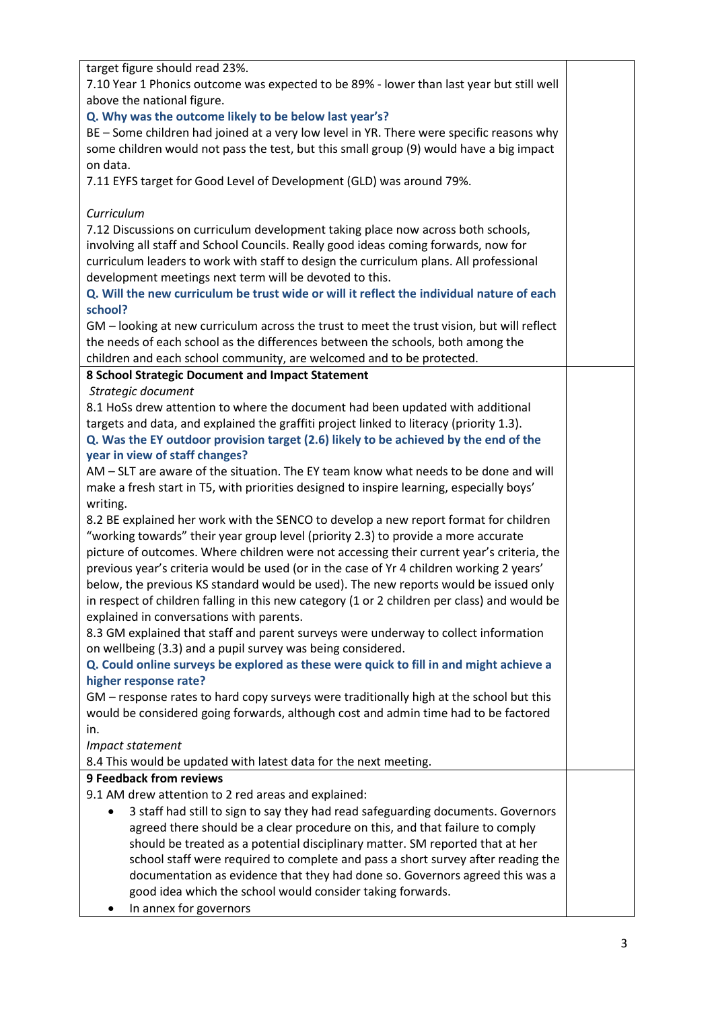| target figure should read 23%.<br>7.10 Year 1 Phonics outcome was expected to be 89% - lower than last year but still well<br>above the national figure.<br>Q. Why was the outcome likely to be below last year's?<br>BE - Some children had joined at a very low level in YR. There were specific reasons why<br>some children would not pass the test, but this small group (9) would have a big impact<br>on data.<br>7.11 EYFS target for Good Level of Development (GLD) was around 79%.<br>Curriculum<br>7.12 Discussions on curriculum development taking place now across both schools,<br>involving all staff and School Councils. Really good ideas coming forwards, now for<br>curriculum leaders to work with staff to design the curriculum plans. All professional<br>development meetings next term will be devoted to this.<br>Q. Will the new curriculum be trust wide or will it reflect the individual nature of each<br>school?<br>GM - looking at new curriculum across the trust to meet the trust vision, but will reflect<br>the needs of each school as the differences between the schools, both among the<br>children and each school community, are welcomed and to be protected.<br>8 School Strategic Document and Impact Statement<br>Strategic document<br>8.1 HoSs drew attention to where the document had been updated with additional<br>targets and data, and explained the graffiti project linked to literacy (priority 1.3).<br>Q. Was the EY outdoor provision target (2.6) likely to be achieved by the end of the<br>year in view of staff changes?<br>AM - SLT are aware of the situation. The EY team know what needs to be done and will<br>make a fresh start in T5, with priorities designed to inspire learning, especially boys'<br>writing.<br>8.2 BE explained her work with the SENCO to develop a new report format for children<br>"working towards" their year group level (priority 2.3) to provide a more accurate<br>picture of outcomes. Where children were not accessing their current year's criteria, the<br>previous year's criteria would be used (or in the case of Yr 4 children working 2 years'<br>below, the previous KS standard would be used). The new reports would be issued only<br>in respect of children falling in this new category (1 or 2 children per class) and would be<br>explained in conversations with parents.<br>8.3 GM explained that staff and parent surveys were underway to collect information<br>on wellbeing (3.3) and a pupil survey was being considered.<br>Q. Could online surveys be explored as these were quick to fill in and might achieve a<br>higher response rate?<br>GM - response rates to hard copy surveys were traditionally high at the school but this<br>would be considered going forwards, although cost and admin time had to be factored |
|----------------------------------------------------------------------------------------------------------------------------------------------------------------------------------------------------------------------------------------------------------------------------------------------------------------------------------------------------------------------------------------------------------------------------------------------------------------------------------------------------------------------------------------------------------------------------------------------------------------------------------------------------------------------------------------------------------------------------------------------------------------------------------------------------------------------------------------------------------------------------------------------------------------------------------------------------------------------------------------------------------------------------------------------------------------------------------------------------------------------------------------------------------------------------------------------------------------------------------------------------------------------------------------------------------------------------------------------------------------------------------------------------------------------------------------------------------------------------------------------------------------------------------------------------------------------------------------------------------------------------------------------------------------------------------------------------------------------------------------------------------------------------------------------------------------------------------------------------------------------------------------------------------------------------------------------------------------------------------------------------------------------------------------------------------------------------------------------------------------------------------------------------------------------------------------------------------------------------------------------------------------------------------------------------------------------------------------------------------------------------------------------------------------------------------------------------------------------------------------------------------------------------------------------------------------------------------------------------------------------------------------------------------------------------------------------------------------------------------------------------------------------------------------------------------------------------------------------------------------------|
|                                                                                                                                                                                                                                                                                                                                                                                                                                                                                                                                                                                                                                                                                                                                                                                                                                                                                                                                                                                                                                                                                                                                                                                                                                                                                                                                                                                                                                                                                                                                                                                                                                                                                                                                                                                                                                                                                                                                                                                                                                                                                                                                                                                                                                                                                                                                                                                                                                                                                                                                                                                                                                                                                                                                                                                                                                                                      |
|                                                                                                                                                                                                                                                                                                                                                                                                                                                                                                                                                                                                                                                                                                                                                                                                                                                                                                                                                                                                                                                                                                                                                                                                                                                                                                                                                                                                                                                                                                                                                                                                                                                                                                                                                                                                                                                                                                                                                                                                                                                                                                                                                                                                                                                                                                                                                                                                                                                                                                                                                                                                                                                                                                                                                                                                                                                                      |
|                                                                                                                                                                                                                                                                                                                                                                                                                                                                                                                                                                                                                                                                                                                                                                                                                                                                                                                                                                                                                                                                                                                                                                                                                                                                                                                                                                                                                                                                                                                                                                                                                                                                                                                                                                                                                                                                                                                                                                                                                                                                                                                                                                                                                                                                                                                                                                                                                                                                                                                                                                                                                                                                                                                                                                                                                                                                      |
|                                                                                                                                                                                                                                                                                                                                                                                                                                                                                                                                                                                                                                                                                                                                                                                                                                                                                                                                                                                                                                                                                                                                                                                                                                                                                                                                                                                                                                                                                                                                                                                                                                                                                                                                                                                                                                                                                                                                                                                                                                                                                                                                                                                                                                                                                                                                                                                                                                                                                                                                                                                                                                                                                                                                                                                                                                                                      |
|                                                                                                                                                                                                                                                                                                                                                                                                                                                                                                                                                                                                                                                                                                                                                                                                                                                                                                                                                                                                                                                                                                                                                                                                                                                                                                                                                                                                                                                                                                                                                                                                                                                                                                                                                                                                                                                                                                                                                                                                                                                                                                                                                                                                                                                                                                                                                                                                                                                                                                                                                                                                                                                                                                                                                                                                                                                                      |
|                                                                                                                                                                                                                                                                                                                                                                                                                                                                                                                                                                                                                                                                                                                                                                                                                                                                                                                                                                                                                                                                                                                                                                                                                                                                                                                                                                                                                                                                                                                                                                                                                                                                                                                                                                                                                                                                                                                                                                                                                                                                                                                                                                                                                                                                                                                                                                                                                                                                                                                                                                                                                                                                                                                                                                                                                                                                      |
|                                                                                                                                                                                                                                                                                                                                                                                                                                                                                                                                                                                                                                                                                                                                                                                                                                                                                                                                                                                                                                                                                                                                                                                                                                                                                                                                                                                                                                                                                                                                                                                                                                                                                                                                                                                                                                                                                                                                                                                                                                                                                                                                                                                                                                                                                                                                                                                                                                                                                                                                                                                                                                                                                                                                                                                                                                                                      |
|                                                                                                                                                                                                                                                                                                                                                                                                                                                                                                                                                                                                                                                                                                                                                                                                                                                                                                                                                                                                                                                                                                                                                                                                                                                                                                                                                                                                                                                                                                                                                                                                                                                                                                                                                                                                                                                                                                                                                                                                                                                                                                                                                                                                                                                                                                                                                                                                                                                                                                                                                                                                                                                                                                                                                                                                                                                                      |
|                                                                                                                                                                                                                                                                                                                                                                                                                                                                                                                                                                                                                                                                                                                                                                                                                                                                                                                                                                                                                                                                                                                                                                                                                                                                                                                                                                                                                                                                                                                                                                                                                                                                                                                                                                                                                                                                                                                                                                                                                                                                                                                                                                                                                                                                                                                                                                                                                                                                                                                                                                                                                                                                                                                                                                                                                                                                      |
|                                                                                                                                                                                                                                                                                                                                                                                                                                                                                                                                                                                                                                                                                                                                                                                                                                                                                                                                                                                                                                                                                                                                                                                                                                                                                                                                                                                                                                                                                                                                                                                                                                                                                                                                                                                                                                                                                                                                                                                                                                                                                                                                                                                                                                                                                                                                                                                                                                                                                                                                                                                                                                                                                                                                                                                                                                                                      |
|                                                                                                                                                                                                                                                                                                                                                                                                                                                                                                                                                                                                                                                                                                                                                                                                                                                                                                                                                                                                                                                                                                                                                                                                                                                                                                                                                                                                                                                                                                                                                                                                                                                                                                                                                                                                                                                                                                                                                                                                                                                                                                                                                                                                                                                                                                                                                                                                                                                                                                                                                                                                                                                                                                                                                                                                                                                                      |
|                                                                                                                                                                                                                                                                                                                                                                                                                                                                                                                                                                                                                                                                                                                                                                                                                                                                                                                                                                                                                                                                                                                                                                                                                                                                                                                                                                                                                                                                                                                                                                                                                                                                                                                                                                                                                                                                                                                                                                                                                                                                                                                                                                                                                                                                                                                                                                                                                                                                                                                                                                                                                                                                                                                                                                                                                                                                      |
|                                                                                                                                                                                                                                                                                                                                                                                                                                                                                                                                                                                                                                                                                                                                                                                                                                                                                                                                                                                                                                                                                                                                                                                                                                                                                                                                                                                                                                                                                                                                                                                                                                                                                                                                                                                                                                                                                                                                                                                                                                                                                                                                                                                                                                                                                                                                                                                                                                                                                                                                                                                                                                                                                                                                                                                                                                                                      |
|                                                                                                                                                                                                                                                                                                                                                                                                                                                                                                                                                                                                                                                                                                                                                                                                                                                                                                                                                                                                                                                                                                                                                                                                                                                                                                                                                                                                                                                                                                                                                                                                                                                                                                                                                                                                                                                                                                                                                                                                                                                                                                                                                                                                                                                                                                                                                                                                                                                                                                                                                                                                                                                                                                                                                                                                                                                                      |
|                                                                                                                                                                                                                                                                                                                                                                                                                                                                                                                                                                                                                                                                                                                                                                                                                                                                                                                                                                                                                                                                                                                                                                                                                                                                                                                                                                                                                                                                                                                                                                                                                                                                                                                                                                                                                                                                                                                                                                                                                                                                                                                                                                                                                                                                                                                                                                                                                                                                                                                                                                                                                                                                                                                                                                                                                                                                      |
|                                                                                                                                                                                                                                                                                                                                                                                                                                                                                                                                                                                                                                                                                                                                                                                                                                                                                                                                                                                                                                                                                                                                                                                                                                                                                                                                                                                                                                                                                                                                                                                                                                                                                                                                                                                                                                                                                                                                                                                                                                                                                                                                                                                                                                                                                                                                                                                                                                                                                                                                                                                                                                                                                                                                                                                                                                                                      |
|                                                                                                                                                                                                                                                                                                                                                                                                                                                                                                                                                                                                                                                                                                                                                                                                                                                                                                                                                                                                                                                                                                                                                                                                                                                                                                                                                                                                                                                                                                                                                                                                                                                                                                                                                                                                                                                                                                                                                                                                                                                                                                                                                                                                                                                                                                                                                                                                                                                                                                                                                                                                                                                                                                                                                                                                                                                                      |
|                                                                                                                                                                                                                                                                                                                                                                                                                                                                                                                                                                                                                                                                                                                                                                                                                                                                                                                                                                                                                                                                                                                                                                                                                                                                                                                                                                                                                                                                                                                                                                                                                                                                                                                                                                                                                                                                                                                                                                                                                                                                                                                                                                                                                                                                                                                                                                                                                                                                                                                                                                                                                                                                                                                                                                                                                                                                      |
|                                                                                                                                                                                                                                                                                                                                                                                                                                                                                                                                                                                                                                                                                                                                                                                                                                                                                                                                                                                                                                                                                                                                                                                                                                                                                                                                                                                                                                                                                                                                                                                                                                                                                                                                                                                                                                                                                                                                                                                                                                                                                                                                                                                                                                                                                                                                                                                                                                                                                                                                                                                                                                                                                                                                                                                                                                                                      |
|                                                                                                                                                                                                                                                                                                                                                                                                                                                                                                                                                                                                                                                                                                                                                                                                                                                                                                                                                                                                                                                                                                                                                                                                                                                                                                                                                                                                                                                                                                                                                                                                                                                                                                                                                                                                                                                                                                                                                                                                                                                                                                                                                                                                                                                                                                                                                                                                                                                                                                                                                                                                                                                                                                                                                                                                                                                                      |
|                                                                                                                                                                                                                                                                                                                                                                                                                                                                                                                                                                                                                                                                                                                                                                                                                                                                                                                                                                                                                                                                                                                                                                                                                                                                                                                                                                                                                                                                                                                                                                                                                                                                                                                                                                                                                                                                                                                                                                                                                                                                                                                                                                                                                                                                                                                                                                                                                                                                                                                                                                                                                                                                                                                                                                                                                                                                      |
|                                                                                                                                                                                                                                                                                                                                                                                                                                                                                                                                                                                                                                                                                                                                                                                                                                                                                                                                                                                                                                                                                                                                                                                                                                                                                                                                                                                                                                                                                                                                                                                                                                                                                                                                                                                                                                                                                                                                                                                                                                                                                                                                                                                                                                                                                                                                                                                                                                                                                                                                                                                                                                                                                                                                                                                                                                                                      |
|                                                                                                                                                                                                                                                                                                                                                                                                                                                                                                                                                                                                                                                                                                                                                                                                                                                                                                                                                                                                                                                                                                                                                                                                                                                                                                                                                                                                                                                                                                                                                                                                                                                                                                                                                                                                                                                                                                                                                                                                                                                                                                                                                                                                                                                                                                                                                                                                                                                                                                                                                                                                                                                                                                                                                                                                                                                                      |
|                                                                                                                                                                                                                                                                                                                                                                                                                                                                                                                                                                                                                                                                                                                                                                                                                                                                                                                                                                                                                                                                                                                                                                                                                                                                                                                                                                                                                                                                                                                                                                                                                                                                                                                                                                                                                                                                                                                                                                                                                                                                                                                                                                                                                                                                                                                                                                                                                                                                                                                                                                                                                                                                                                                                                                                                                                                                      |
|                                                                                                                                                                                                                                                                                                                                                                                                                                                                                                                                                                                                                                                                                                                                                                                                                                                                                                                                                                                                                                                                                                                                                                                                                                                                                                                                                                                                                                                                                                                                                                                                                                                                                                                                                                                                                                                                                                                                                                                                                                                                                                                                                                                                                                                                                                                                                                                                                                                                                                                                                                                                                                                                                                                                                                                                                                                                      |
|                                                                                                                                                                                                                                                                                                                                                                                                                                                                                                                                                                                                                                                                                                                                                                                                                                                                                                                                                                                                                                                                                                                                                                                                                                                                                                                                                                                                                                                                                                                                                                                                                                                                                                                                                                                                                                                                                                                                                                                                                                                                                                                                                                                                                                                                                                                                                                                                                                                                                                                                                                                                                                                                                                                                                                                                                                                                      |
|                                                                                                                                                                                                                                                                                                                                                                                                                                                                                                                                                                                                                                                                                                                                                                                                                                                                                                                                                                                                                                                                                                                                                                                                                                                                                                                                                                                                                                                                                                                                                                                                                                                                                                                                                                                                                                                                                                                                                                                                                                                                                                                                                                                                                                                                                                                                                                                                                                                                                                                                                                                                                                                                                                                                                                                                                                                                      |
|                                                                                                                                                                                                                                                                                                                                                                                                                                                                                                                                                                                                                                                                                                                                                                                                                                                                                                                                                                                                                                                                                                                                                                                                                                                                                                                                                                                                                                                                                                                                                                                                                                                                                                                                                                                                                                                                                                                                                                                                                                                                                                                                                                                                                                                                                                                                                                                                                                                                                                                                                                                                                                                                                                                                                                                                                                                                      |
|                                                                                                                                                                                                                                                                                                                                                                                                                                                                                                                                                                                                                                                                                                                                                                                                                                                                                                                                                                                                                                                                                                                                                                                                                                                                                                                                                                                                                                                                                                                                                                                                                                                                                                                                                                                                                                                                                                                                                                                                                                                                                                                                                                                                                                                                                                                                                                                                                                                                                                                                                                                                                                                                                                                                                                                                                                                                      |
|                                                                                                                                                                                                                                                                                                                                                                                                                                                                                                                                                                                                                                                                                                                                                                                                                                                                                                                                                                                                                                                                                                                                                                                                                                                                                                                                                                                                                                                                                                                                                                                                                                                                                                                                                                                                                                                                                                                                                                                                                                                                                                                                                                                                                                                                                                                                                                                                                                                                                                                                                                                                                                                                                                                                                                                                                                                                      |
|                                                                                                                                                                                                                                                                                                                                                                                                                                                                                                                                                                                                                                                                                                                                                                                                                                                                                                                                                                                                                                                                                                                                                                                                                                                                                                                                                                                                                                                                                                                                                                                                                                                                                                                                                                                                                                                                                                                                                                                                                                                                                                                                                                                                                                                                                                                                                                                                                                                                                                                                                                                                                                                                                                                                                                                                                                                                      |
|                                                                                                                                                                                                                                                                                                                                                                                                                                                                                                                                                                                                                                                                                                                                                                                                                                                                                                                                                                                                                                                                                                                                                                                                                                                                                                                                                                                                                                                                                                                                                                                                                                                                                                                                                                                                                                                                                                                                                                                                                                                                                                                                                                                                                                                                                                                                                                                                                                                                                                                                                                                                                                                                                                                                                                                                                                                                      |
|                                                                                                                                                                                                                                                                                                                                                                                                                                                                                                                                                                                                                                                                                                                                                                                                                                                                                                                                                                                                                                                                                                                                                                                                                                                                                                                                                                                                                                                                                                                                                                                                                                                                                                                                                                                                                                                                                                                                                                                                                                                                                                                                                                                                                                                                                                                                                                                                                                                                                                                                                                                                                                                                                                                                                                                                                                                                      |
|                                                                                                                                                                                                                                                                                                                                                                                                                                                                                                                                                                                                                                                                                                                                                                                                                                                                                                                                                                                                                                                                                                                                                                                                                                                                                                                                                                                                                                                                                                                                                                                                                                                                                                                                                                                                                                                                                                                                                                                                                                                                                                                                                                                                                                                                                                                                                                                                                                                                                                                                                                                                                                                                                                                                                                                                                                                                      |
|                                                                                                                                                                                                                                                                                                                                                                                                                                                                                                                                                                                                                                                                                                                                                                                                                                                                                                                                                                                                                                                                                                                                                                                                                                                                                                                                                                                                                                                                                                                                                                                                                                                                                                                                                                                                                                                                                                                                                                                                                                                                                                                                                                                                                                                                                                                                                                                                                                                                                                                                                                                                                                                                                                                                                                                                                                                                      |
|                                                                                                                                                                                                                                                                                                                                                                                                                                                                                                                                                                                                                                                                                                                                                                                                                                                                                                                                                                                                                                                                                                                                                                                                                                                                                                                                                                                                                                                                                                                                                                                                                                                                                                                                                                                                                                                                                                                                                                                                                                                                                                                                                                                                                                                                                                                                                                                                                                                                                                                                                                                                                                                                                                                                                                                                                                                                      |
|                                                                                                                                                                                                                                                                                                                                                                                                                                                                                                                                                                                                                                                                                                                                                                                                                                                                                                                                                                                                                                                                                                                                                                                                                                                                                                                                                                                                                                                                                                                                                                                                                                                                                                                                                                                                                                                                                                                                                                                                                                                                                                                                                                                                                                                                                                                                                                                                                                                                                                                                                                                                                                                                                                                                                                                                                                                                      |
|                                                                                                                                                                                                                                                                                                                                                                                                                                                                                                                                                                                                                                                                                                                                                                                                                                                                                                                                                                                                                                                                                                                                                                                                                                                                                                                                                                                                                                                                                                                                                                                                                                                                                                                                                                                                                                                                                                                                                                                                                                                                                                                                                                                                                                                                                                                                                                                                                                                                                                                                                                                                                                                                                                                                                                                                                                                                      |
|                                                                                                                                                                                                                                                                                                                                                                                                                                                                                                                                                                                                                                                                                                                                                                                                                                                                                                                                                                                                                                                                                                                                                                                                                                                                                                                                                                                                                                                                                                                                                                                                                                                                                                                                                                                                                                                                                                                                                                                                                                                                                                                                                                                                                                                                                                                                                                                                                                                                                                                                                                                                                                                                                                                                                                                                                                                                      |
|                                                                                                                                                                                                                                                                                                                                                                                                                                                                                                                                                                                                                                                                                                                                                                                                                                                                                                                                                                                                                                                                                                                                                                                                                                                                                                                                                                                                                                                                                                                                                                                                                                                                                                                                                                                                                                                                                                                                                                                                                                                                                                                                                                                                                                                                                                                                                                                                                                                                                                                                                                                                                                                                                                                                                                                                                                                                      |
|                                                                                                                                                                                                                                                                                                                                                                                                                                                                                                                                                                                                                                                                                                                                                                                                                                                                                                                                                                                                                                                                                                                                                                                                                                                                                                                                                                                                                                                                                                                                                                                                                                                                                                                                                                                                                                                                                                                                                                                                                                                                                                                                                                                                                                                                                                                                                                                                                                                                                                                                                                                                                                                                                                                                                                                                                                                                      |
|                                                                                                                                                                                                                                                                                                                                                                                                                                                                                                                                                                                                                                                                                                                                                                                                                                                                                                                                                                                                                                                                                                                                                                                                                                                                                                                                                                                                                                                                                                                                                                                                                                                                                                                                                                                                                                                                                                                                                                                                                                                                                                                                                                                                                                                                                                                                                                                                                                                                                                                                                                                                                                                                                                                                                                                                                                                                      |
| in.                                                                                                                                                                                                                                                                                                                                                                                                                                                                                                                                                                                                                                                                                                                                                                                                                                                                                                                                                                                                                                                                                                                                                                                                                                                                                                                                                                                                                                                                                                                                                                                                                                                                                                                                                                                                                                                                                                                                                                                                                                                                                                                                                                                                                                                                                                                                                                                                                                                                                                                                                                                                                                                                                                                                                                                                                                                                  |
| Impact statement                                                                                                                                                                                                                                                                                                                                                                                                                                                                                                                                                                                                                                                                                                                                                                                                                                                                                                                                                                                                                                                                                                                                                                                                                                                                                                                                                                                                                                                                                                                                                                                                                                                                                                                                                                                                                                                                                                                                                                                                                                                                                                                                                                                                                                                                                                                                                                                                                                                                                                                                                                                                                                                                                                                                                                                                                                                     |
| 8.4 This would be updated with latest data for the next meeting.                                                                                                                                                                                                                                                                                                                                                                                                                                                                                                                                                                                                                                                                                                                                                                                                                                                                                                                                                                                                                                                                                                                                                                                                                                                                                                                                                                                                                                                                                                                                                                                                                                                                                                                                                                                                                                                                                                                                                                                                                                                                                                                                                                                                                                                                                                                                                                                                                                                                                                                                                                                                                                                                                                                                                                                                     |
| <b>9 Feedback from reviews</b>                                                                                                                                                                                                                                                                                                                                                                                                                                                                                                                                                                                                                                                                                                                                                                                                                                                                                                                                                                                                                                                                                                                                                                                                                                                                                                                                                                                                                                                                                                                                                                                                                                                                                                                                                                                                                                                                                                                                                                                                                                                                                                                                                                                                                                                                                                                                                                                                                                                                                                                                                                                                                                                                                                                                                                                                                                       |
| 9.1 AM drew attention to 2 red areas and explained:                                                                                                                                                                                                                                                                                                                                                                                                                                                                                                                                                                                                                                                                                                                                                                                                                                                                                                                                                                                                                                                                                                                                                                                                                                                                                                                                                                                                                                                                                                                                                                                                                                                                                                                                                                                                                                                                                                                                                                                                                                                                                                                                                                                                                                                                                                                                                                                                                                                                                                                                                                                                                                                                                                                                                                                                                  |
| 3 staff had still to sign to say they had read safeguarding documents. Governors                                                                                                                                                                                                                                                                                                                                                                                                                                                                                                                                                                                                                                                                                                                                                                                                                                                                                                                                                                                                                                                                                                                                                                                                                                                                                                                                                                                                                                                                                                                                                                                                                                                                                                                                                                                                                                                                                                                                                                                                                                                                                                                                                                                                                                                                                                                                                                                                                                                                                                                                                                                                                                                                                                                                                                                     |
| agreed there should be a clear procedure on this, and that failure to comply                                                                                                                                                                                                                                                                                                                                                                                                                                                                                                                                                                                                                                                                                                                                                                                                                                                                                                                                                                                                                                                                                                                                                                                                                                                                                                                                                                                                                                                                                                                                                                                                                                                                                                                                                                                                                                                                                                                                                                                                                                                                                                                                                                                                                                                                                                                                                                                                                                                                                                                                                                                                                                                                                                                                                                                         |
| should be treated as a potential disciplinary matter. SM reported that at her                                                                                                                                                                                                                                                                                                                                                                                                                                                                                                                                                                                                                                                                                                                                                                                                                                                                                                                                                                                                                                                                                                                                                                                                                                                                                                                                                                                                                                                                                                                                                                                                                                                                                                                                                                                                                                                                                                                                                                                                                                                                                                                                                                                                                                                                                                                                                                                                                                                                                                                                                                                                                                                                                                                                                                                        |
| school staff were required to complete and pass a short survey after reading the                                                                                                                                                                                                                                                                                                                                                                                                                                                                                                                                                                                                                                                                                                                                                                                                                                                                                                                                                                                                                                                                                                                                                                                                                                                                                                                                                                                                                                                                                                                                                                                                                                                                                                                                                                                                                                                                                                                                                                                                                                                                                                                                                                                                                                                                                                                                                                                                                                                                                                                                                                                                                                                                                                                                                                                     |
| documentation as evidence that they had done so. Governors agreed this was a                                                                                                                                                                                                                                                                                                                                                                                                                                                                                                                                                                                                                                                                                                                                                                                                                                                                                                                                                                                                                                                                                                                                                                                                                                                                                                                                                                                                                                                                                                                                                                                                                                                                                                                                                                                                                                                                                                                                                                                                                                                                                                                                                                                                                                                                                                                                                                                                                                                                                                                                                                                                                                                                                                                                                                                         |
| good idea which the school would consider taking forwards.                                                                                                                                                                                                                                                                                                                                                                                                                                                                                                                                                                                                                                                                                                                                                                                                                                                                                                                                                                                                                                                                                                                                                                                                                                                                                                                                                                                                                                                                                                                                                                                                                                                                                                                                                                                                                                                                                                                                                                                                                                                                                                                                                                                                                                                                                                                                                                                                                                                                                                                                                                                                                                                                                                                                                                                                           |
| In annex for governors                                                                                                                                                                                                                                                                                                                                                                                                                                                                                                                                                                                                                                                                                                                                                                                                                                                                                                                                                                                                                                                                                                                                                                                                                                                                                                                                                                                                                                                                                                                                                                                                                                                                                                                                                                                                                                                                                                                                                                                                                                                                                                                                                                                                                                                                                                                                                                                                                                                                                                                                                                                                                                                                                                                                                                                                                                               |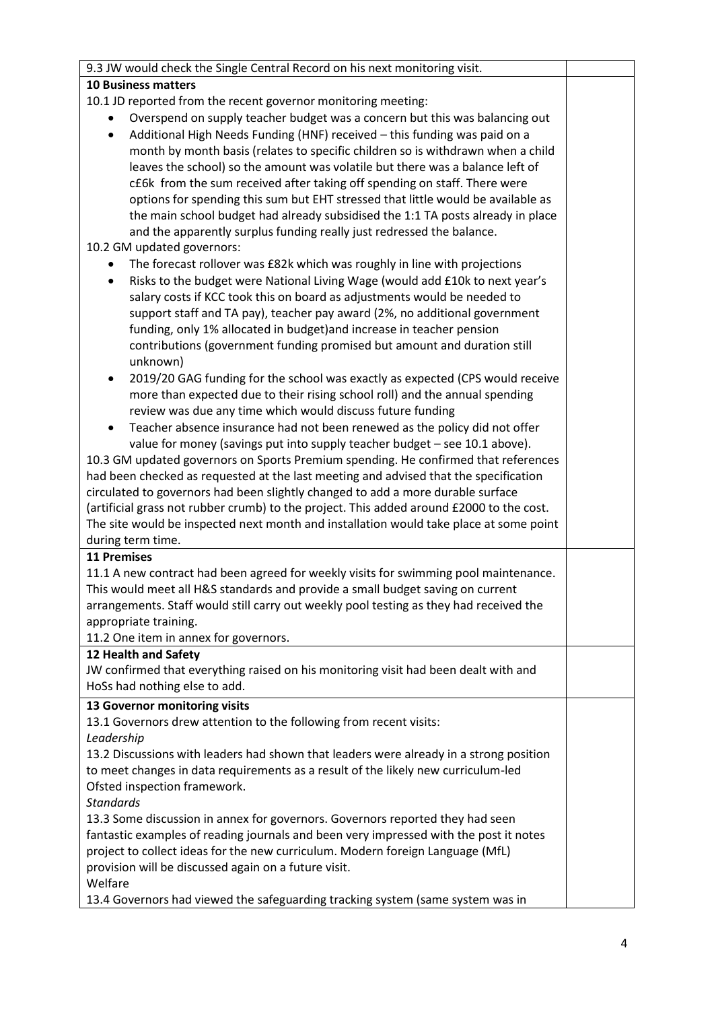| 9.3 JW would check the Single Central Record on his next monitoring visit.                                                                                              |  |
|-------------------------------------------------------------------------------------------------------------------------------------------------------------------------|--|
| <b>10 Business matters</b>                                                                                                                                              |  |
| 10.1 JD reported from the recent governor monitoring meeting:                                                                                                           |  |
| Overspend on supply teacher budget was a concern but this was balancing out                                                                                             |  |
| Additional High Needs Funding (HNF) received - this funding was paid on a<br>$\bullet$                                                                                  |  |
| month by month basis (relates to specific children so is withdrawn when a child                                                                                         |  |
| leaves the school) so the amount was volatile but there was a balance left of                                                                                           |  |
| c£6k from the sum received after taking off spending on staff. There were                                                                                               |  |
| options for spending this sum but EHT stressed that little would be available as                                                                                        |  |
| the main school budget had already subsidised the 1:1 TA posts already in place                                                                                         |  |
| and the apparently surplus funding really just redressed the balance.                                                                                                   |  |
| 10.2 GM updated governors:                                                                                                                                              |  |
| The forecast rollover was £82k which was roughly in line with projections                                                                                               |  |
| Risks to the budget were National Living Wage (would add £10k to next year's                                                                                            |  |
| salary costs if KCC took this on board as adjustments would be needed to                                                                                                |  |
| support staff and TA pay), teacher pay award (2%, no additional government                                                                                              |  |
| funding, only 1% allocated in budget) and increase in teacher pension                                                                                                   |  |
| contributions (government funding promised but amount and duration still                                                                                                |  |
| unknown)                                                                                                                                                                |  |
| 2019/20 GAG funding for the school was exactly as expected (CPS would receive<br>٠                                                                                      |  |
| more than expected due to their rising school roll) and the annual spending                                                                                             |  |
| review was due any time which would discuss future funding                                                                                                              |  |
| Teacher absence insurance had not been renewed as the policy did not offer<br>$\bullet$                                                                                 |  |
| value for money (savings put into supply teacher budget - see 10.1 above).                                                                                              |  |
| 10.3 GM updated governors on Sports Premium spending. He confirmed that references                                                                                      |  |
| had been checked as requested at the last meeting and advised that the specification<br>circulated to governors had been slightly changed to add a more durable surface |  |
| (artificial grass not rubber crumb) to the project. This added around £2000 to the cost.                                                                                |  |
| The site would be inspected next month and installation would take place at some point                                                                                  |  |
| during term time.                                                                                                                                                       |  |
| <b>11 Premises</b>                                                                                                                                                      |  |
| 11.1 A new contract had been agreed for weekly visits for swimming pool maintenance.                                                                                    |  |
| This would meet all H&S standards and provide a small budget saving on current                                                                                          |  |
| arrangements. Staff would still carry out weekly pool testing as they had received the                                                                                  |  |
| appropriate training.                                                                                                                                                   |  |
| 11.2 One item in annex for governors.                                                                                                                                   |  |
| 12 Health and Safety                                                                                                                                                    |  |
| JW confirmed that everything raised on his monitoring visit had been dealt with and                                                                                     |  |
| HoSs had nothing else to add.                                                                                                                                           |  |
| 13 Governor monitoring visits                                                                                                                                           |  |
| 13.1 Governors drew attention to the following from recent visits:                                                                                                      |  |
| Leadership                                                                                                                                                              |  |
| 13.2 Discussions with leaders had shown that leaders were already in a strong position                                                                                  |  |
| to meet changes in data requirements as a result of the likely new curriculum-led                                                                                       |  |
| Ofsted inspection framework.                                                                                                                                            |  |
| <b>Standards</b>                                                                                                                                                        |  |
| 13.3 Some discussion in annex for governors. Governors reported they had seen                                                                                           |  |
| fantastic examples of reading journals and been very impressed with the post it notes                                                                                   |  |
| project to collect ideas for the new curriculum. Modern foreign Language (MfL)                                                                                          |  |
| provision will be discussed again on a future visit.                                                                                                                    |  |
| Welfare                                                                                                                                                                 |  |
| 13.4 Governors had viewed the safeguarding tracking system (same system was in                                                                                          |  |